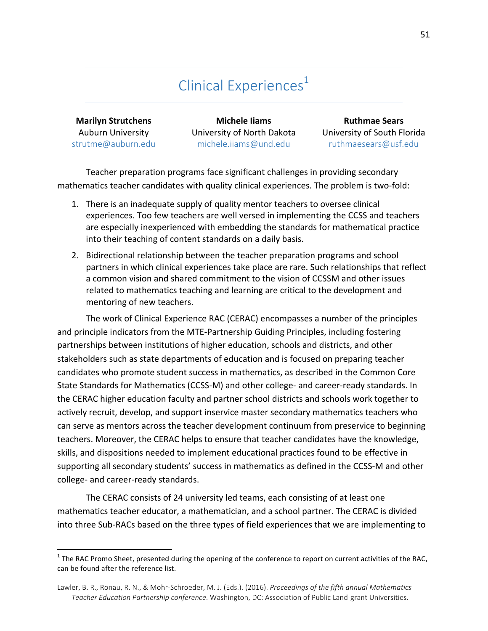# Clinical Experiences<sup>1</sup>

**Marilyn Strutchens** Auburn University strutme@auburn.edu

**Michele Iiams** University of North Dakota michele.iiams@und.edu

**Ruthmae Sears** University of South Florida ruthmaesears@usf.edu

Teacher preparation programs face significant challenges in providing secondary mathematics teacher candidates with quality clinical experiences. The problem is two-fold:

- 1. There is an inadequate supply of quality mentor teachers to oversee clinical experiences. Too few teachers are well versed in implementing the CCSS and teachers are especially inexperienced with embedding the standards for mathematical practice into their teaching of content standards on a daily basis.
- 2. Bidirectional relationship between the teacher preparation programs and school partners in which clinical experiences take place are rare. Such relationships that reflect a common vision and shared commitment to the vision of CCSSM and other issues related to mathematics teaching and learning are critical to the development and mentoring of new teachers.

The work of Clinical Experience RAC (CERAC) encompasses a number of the principles and principle indicators from the MTE-Partnership Guiding Principles, including fostering partnerships between institutions of higher education, schools and districts, and other stakeholders such as state departments of education and is focused on preparing teacher candidates who promote student success in mathematics, as described in the Common Core State Standards for Mathematics (CCSS-M) and other college- and career-ready standards. In the CERAC higher education faculty and partner school districts and schools work together to actively recruit, develop, and support inservice master secondary mathematics teachers who can serve as mentors across the teacher development continuum from preservice to beginning teachers. Moreover, the CERAC helps to ensure that teacher candidates have the knowledge, skills, and dispositions needed to implement educational practices found to be effective in supporting all secondary students' success in mathematics as defined in the CCSS-M and other college- and career-ready standards.

The CERAC consists of 24 university led teams, each consisting of at least one mathematics teacher educator, a mathematician, and a school partner. The CERAC is divided into three Sub-RACs based on the three types of field experiences that we are implementing to

 $1$  The RAC Promo Sheet, presented during the opening of the conference to report on current activities of the RAC, can be found after the reference list.

Lawler, B. R., Ronau, R. N., & Mohr-Schroeder, M. J. (Eds.). (2016). *Proceedings of the fifth annual Mathematics* Teacher Education Partnership conference. Washington, DC: Association of Public Land-grant Universities.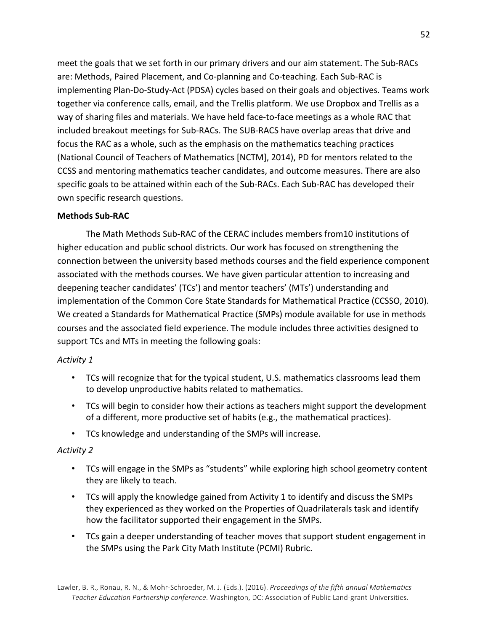meet the goals that we set forth in our primary drivers and our aim statement. The Sub-RACs are: Methods, Paired Placement, and Co-planning and Co-teaching. Each Sub-RAC is implementing Plan-Do-Study-Act (PDSA) cycles based on their goals and objectives. Teams work together via conference calls, email, and the Trellis platform. We use Dropbox and Trellis as a way of sharing files and materials. We have held face-to-face meetings as a whole RAC that included breakout meetings for Sub-RACs. The SUB-RACS have overlap areas that drive and focus the RAC as a whole, such as the emphasis on the mathematics teaching practices (National Council of Teachers of Mathematics [NCTM], 2014), PD for mentors related to the CCSS and mentoring mathematics teacher candidates, and outcome measures. There are also specific goals to be attained within each of the Sub-RACs. Each Sub-RAC has developed their own specific research questions.

#### **Methods Sub-RAC**

The Math Methods Sub-RAC of the CERAC includes members from10 institutions of higher education and public school districts. Our work has focused on strengthening the connection between the university based methods courses and the field experience component associated with the methods courses. We have given particular attention to increasing and deepening teacher candidates' (TCs') and mentor teachers' (MTs') understanding and implementation of the Common Core State Standards for Mathematical Practice (CCSSO, 2010). We created a Standards for Mathematical Practice (SMPs) module available for use in methods courses and the associated field experience. The module includes three activities designed to support TCs and MTs in meeting the following goals:

#### *Activity 1*

- TCs will recognize that for the typical student, U.S. mathematics classrooms lead them to develop unproductive habits related to mathematics.
- TCs will begin to consider how their actions as teachers might support the development of a different, more productive set of habits (e.g., the mathematical practices).
- TCs knowledge and understanding of the SMPs will increase.

#### *Activity 2*

- TCs will engage in the SMPs as "students" while exploring high school geometry content they are likely to teach.
- TCs will apply the knowledge gained from Activity 1 to identify and discuss the SMPs they experienced as they worked on the Properties of Quadrilaterals task and identify how the facilitator supported their engagement in the SMPs.
- TCs gain a deeper understanding of teacher moves that support student engagement in the SMPs using the Park City Math Institute (PCMI) Rubric.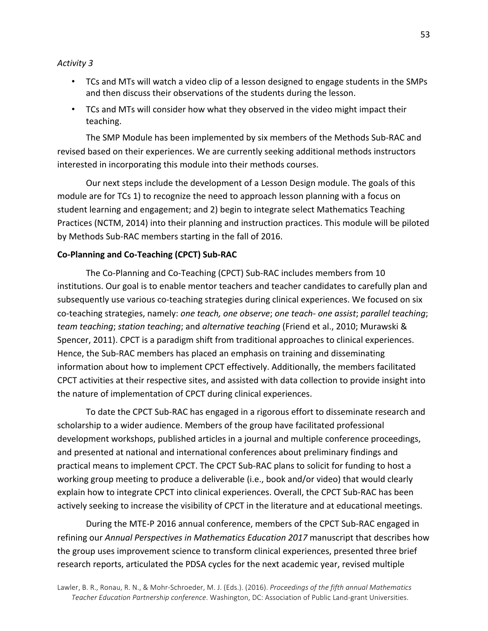#### *Activity 3*

- TCs and MTs will watch a video clip of a lesson designed to engage students in the SMPs and then discuss their observations of the students during the lesson.
- TCs and MTs will consider how what they observed in the video might impact their teaching.

The SMP Module has been implemented by six members of the Methods Sub-RAC and revised based on their experiences. We are currently seeking additional methods instructors interested in incorporating this module into their methods courses.

Our next steps include the development of a Lesson Design module. The goals of this module are for TCs 1) to recognize the need to approach lesson planning with a focus on student learning and engagement; and 2) begin to integrate select Mathematics Teaching Practices (NCTM, 2014) into their planning and instruction practices. This module will be piloted by Methods Sub-RAC members starting in the fall of 2016.

#### **Co-Planning and Co-Teaching (CPCT) Sub-RAC**

The Co-Planning and Co-Teaching (CPCT) Sub-RAC includes members from 10 institutions. Our goal is to enable mentor teachers and teacher candidates to carefully plan and subsequently use various co-teaching strategies during clinical experiences. We focused on six co-teaching strategies, namely: *one teach, one observe*; *one teach- one assist*; *parallel teaching*; *team teaching*; *station teaching*; and *alternative teaching* (Friend et al., 2010; Murawski & Spencer, 2011). CPCT is a paradigm shift from traditional approaches to clinical experiences. Hence, the Sub-RAC members has placed an emphasis on training and disseminating information about how to implement CPCT effectively. Additionally, the members facilitated CPCT activities at their respective sites, and assisted with data collection to provide insight into the nature of implementation of CPCT during clinical experiences.

To date the CPCT Sub-RAC has engaged in a rigorous effort to disseminate research and scholarship to a wider audience. Members of the group have facilitated professional development workshops, published articles in a journal and multiple conference proceedings, and presented at national and international conferences about preliminary findings and practical means to implement CPCT. The CPCT Sub-RAC plans to solicit for funding to host a working group meeting to produce a deliverable (i.e., book and/or video) that would clearly explain how to integrate CPCT into clinical experiences. Overall, the CPCT Sub-RAC has been actively seeking to increase the visibility of CPCT in the literature and at educational meetings.

During the MTE-P 2016 annual conference, members of the CPCT Sub-RAC engaged in refining our *Annual Perspectives in Mathematics Education 2017* manuscript that describes how the group uses improvement science to transform clinical experiences, presented three brief research reports, articulated the PDSA cycles for the next academic year, revised multiple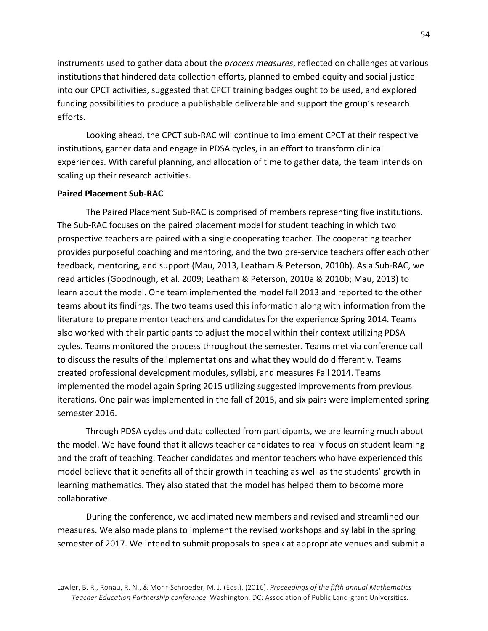instruments used to gather data about the *process measures*, reflected on challenges at various institutions that hindered data collection efforts, planned to embed equity and social justice into our CPCT activities, suggested that CPCT training badges ought to be used, and explored funding possibilities to produce a publishable deliverable and support the group's research efforts. 

Looking ahead, the CPCT sub-RAC will continue to implement CPCT at their respective institutions, garner data and engage in PDSA cycles, in an effort to transform clinical experiences. With careful planning, and allocation of time to gather data, the team intends on scaling up their research activities.

#### **Paired Placement Sub-RAC**

The Paired Placement Sub-RAC is comprised of members representing five institutions. The Sub-RAC focuses on the paired placement model for student teaching in which two prospective teachers are paired with a single cooperating teacher. The cooperating teacher provides purposeful coaching and mentoring, and the two pre-service teachers offer each other feedback, mentoring, and support (Mau, 2013, Leatham & Peterson, 2010b). As a Sub-RAC, we read articles (Goodnough, et al. 2009; Leatham & Peterson, 2010a & 2010b; Mau, 2013) to learn about the model. One team implemented the model fall 2013 and reported to the other teams about its findings. The two teams used this information along with information from the literature to prepare mentor teachers and candidates for the experience Spring 2014. Teams also worked with their participants to adjust the model within their context utilizing PDSA cycles. Teams monitored the process throughout the semester. Teams met via conference call to discuss the results of the implementations and what they would do differently. Teams created professional development modules, syllabi, and measures Fall 2014. Teams implemented the model again Spring 2015 utilizing suggested improvements from previous iterations. One pair was implemented in the fall of 2015, and six pairs were implemented spring semester 2016.

Through PDSA cycles and data collected from participants, we are learning much about the model. We have found that it allows teacher candidates to really focus on student learning and the craft of teaching. Teacher candidates and mentor teachers who have experienced this model believe that it benefits all of their growth in teaching as well as the students' growth in learning mathematics. They also stated that the model has helped them to become more collaborative.

During the conference, we acclimated new members and revised and streamlined our measures. We also made plans to implement the revised workshops and syllabi in the spring semester of 2017. We intend to submit proposals to speak at appropriate venues and submit a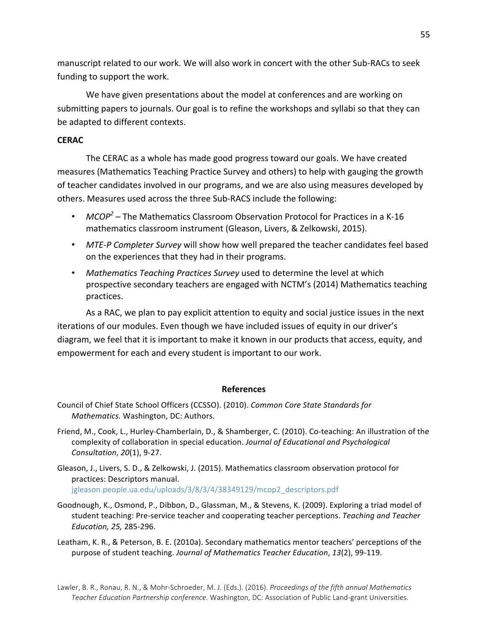manuscript related to our work. We will also work in concert with the other Sub-RACs to seek funding to support the work.

We have given presentations about the model at conferences and are working on submitting papers to journals. Our goal is to refine the workshops and syllabi so that they can be adapted to different contexts.

#### **CERAC**

The CERAC as a whole has made good progress toward our goals. We have created measures (Mathematics Teaching Practice Survey and others) to help with gauging the growth of teacher candidates involved in our programs, and we are also using measures developed by others. Measures used across the three Sub-RACS include the following:

- $MCOP<sup>2</sup>$  The Mathematics Classroom Observation Protocol for Practices in a K-16 mathematics classroom instrument (Gleason, Livers, & Zelkowski, 2015).
- MTE-P Completer Survey will show how well prepared the teacher candidates feel based on the experiences that they had in their programs.
- Mathematics Teaching Practices Survey used to determine the level at which prospective secondary teachers are engaged with NCTM's (2014) Mathematics teaching practices.

As a RAC, we plan to pay explicit attention to equity and social justice issues in the next iterations of our modules. Even though we have included issues of equity in our driver's diagram, we feel that it is important to make it known in our products that access, equity, and empowerment for each and every student is important to our work.

#### **References**

- Council of Chief State School Officers (CCSSO). (2010). *Common Core State Standards for Mathematics.* Washington, DC: Authors.
- Friend, M., Cook, L., Hurley-Chamberlain, D., & Shamberger, C. (2010). Co-teaching: An illustration of the complexity of collaboration in special education. *Journal of Educational and Psychological Consultation*, *20*(1), 9-27.

Gleason, J., Livers, S. D., & Zelkowski, J. (2015). Mathematics classroom observation protocol for practices: Descriptors manual. jgleason.people.ua.edu/uploads/3/8/3/4/38349129/mcop2\_descriptors.pdf

- Goodnough, K., Osmond, P., Dibbon, D., Glassman, M., & Stevens, K. (2009). Exploring a triad model of student teaching: Pre-service teacher and cooperating teacher perceptions. *Teaching and Teacher Education, 25,* 285-296.
- Leatham, K. R., & Peterson, B. E. (2010a). Secondary mathematics mentor teachers' perceptions of the purpose of student teaching. *Journal of Mathematics Teacher Education*, 13(2), 99-119.

Lawler, B. R., Ronau, R. N., & Mohr-Schroeder, M. J. (Eds.). (2016). *Proceedings of the fifth annual Mathematics* Teacher Education Partnership conference. Washington, DC: Association of Public Land-grant Universities.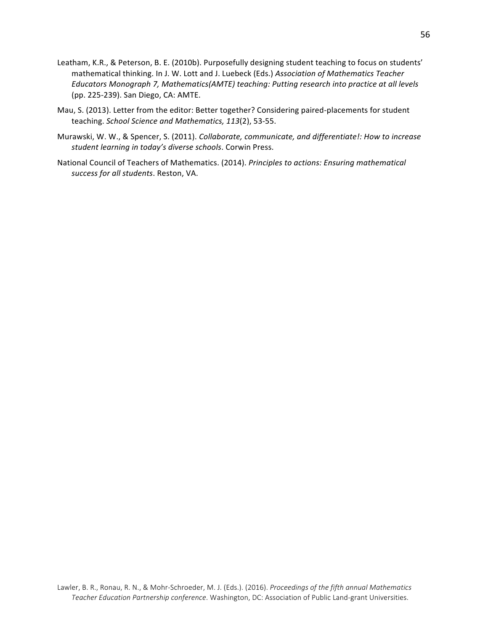- Leatham, K.R., & Peterson, B. E. (2010b). Purposefully designing student teaching to focus on students' mathematical thinking. In J. W. Lott and J. Luebeck (Eds.) Association of Mathematics Teacher Educators Monograph 7, Mathematics(AMTE) teaching: Putting research into practice at all levels (pp. 225-239). San Diego, CA: AMTE.
- Mau, S. (2013). Letter from the editor: Better together? Considering paired-placements for student teaching. School Science and Mathematics, 113(2), 53-55.
- Murawski, W. W., & Spencer, S. (2011). *Collaborate, communicate, and differentiate!: How to increase* student learning in today's diverse schools. Corwin Press.
- National Council of Teachers of Mathematics. (2014). *Principles to actions: Ensuring mathematical success for all students*. Reston, VA.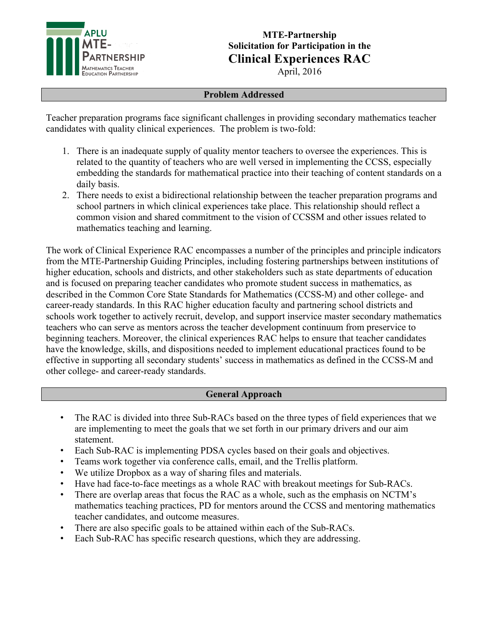

# **MTE-Partnership Solicitation for Participation in the Clinical Experiences RAC**

April, 2016

#### **Problem Addressed**

Teacher preparation programs face significant challenges in providing secondary mathematics teacher candidates with quality clinical experiences. The problem is two-fold:

- 1. There is an inadequate supply of quality mentor teachers to oversee the experiences. This is related to the quantity of teachers who are well versed in implementing the CCSS, especially embedding the standards for mathematical practice into their teaching of content standards on a daily basis.
- 2. There needs to exist a bidirectional relationship between the teacher preparation programs and school partners in which clinical experiences take place. This relationship should reflect a common vision and shared commitment to the vision of CCSSM and other issues related to mathematics teaching and learning.

The work of Clinical Experience RAC encompasses a number of the principles and principle indicators from the MTE-Partnership Guiding Principles, including fostering partnerships between institutions of higher education, schools and districts, and other stakeholders such as state departments of education and is focused on preparing teacher candidates who promote student success in mathematics, as described in the Common Core State Standards for Mathematics (CCSS-M) and other college- and career-ready standards. In this RAC higher education faculty and partnering school districts and schools work together to actively recruit, develop, and support inservice master secondary mathematics teachers who can serve as mentors across the teacher development continuum from preservice to beginning teachers. Moreover, the clinical experiences RAC helps to ensure that teacher candidates have the knowledge, skills, and dispositions needed to implement educational practices found to be effective in supporting all secondary students' success in mathematics as defined in the CCSS-M and other college- and career-ready standards.

#### **General Approach**

- The RAC is divided into three Sub-RACs based on the three types of field experiences that we are implementing to meet the goals that we set forth in our primary drivers and our aim statement.
- Each Sub-RAC is implementing PDSA cycles based on their goals and objectives.
- Teams work together via conference calls, email, and the Trellis platform.
- We utilize Dropbox as a way of sharing files and materials.
- Have had face-to-face meetings as a whole RAC with breakout meetings for Sub-RACs.
- There are overlap areas that focus the RAC as a whole, such as the emphasis on NCTM's mathematics teaching practices, PD for mentors around the CCSS and mentoring mathematics teacher candidates, and outcome measures.
- There are also specific goals to be attained within each of the Sub-RACs.
- Each Sub-RAC has specific research questions, which they are addressing.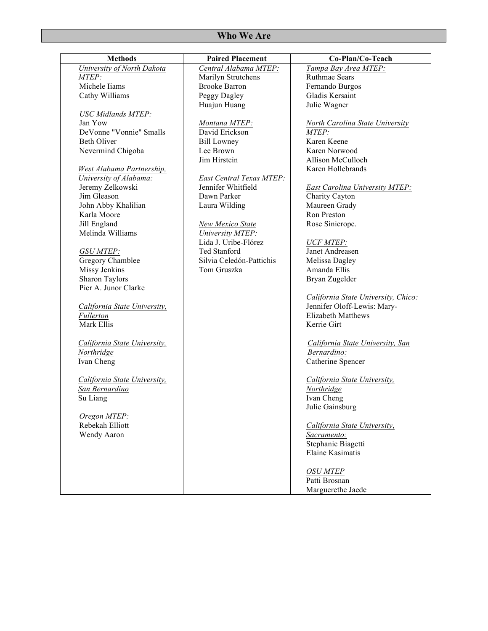| vv no vve Are                |                          |                                       |
|------------------------------|--------------------------|---------------------------------------|
| <b>Methods</b>               | <b>Paired Placement</b>  | Co-Plan/Co-Teach                      |
| University of North Dakota   | Central Alabama MTEP:    | Tampa Bay Area MTEP:                  |
| MTEP:                        | Marilyn Strutchens       | <b>Ruthmae Sears</b>                  |
| Michele Iiams                | <b>Brooke Barron</b>     | Fernando Burgos                       |
| Cathy Williams               | Peggy Dagley             | Gladis Kersaint                       |
|                              | Huajun Huang             | Julie Wagner                          |
| <b>USC Midlands MTEP:</b>    |                          |                                       |
| Jan Yow                      | Montana MTEP:            | North Carolina State University       |
| DeVonne "Vonnie" Smalls      | David Erickson           | MTEP:                                 |
| <b>Beth Oliver</b>           | <b>Bill Lowney</b>       | Karen Keene                           |
| Nevermind Chigoba            | Lee Brown                | Karen Norwood                         |
|                              | Jim Hirstein             | Allison McCulloch                     |
|                              |                          |                                       |
| West Alabama Partnership,    |                          | Karen Hollebrands                     |
| University of Alabama:       | East Central Texas MTEP: |                                       |
| Jeremy Zelkowski             | Jennifer Whitfield       | <b>East Carolina University MTEP:</b> |
| Jim Gleason                  | Dawn Parker              | Charity Cayton                        |
| John Abby Khalilian          | Laura Wilding            | Maureen Grady                         |
| Karla Moore                  |                          | Ron Preston                           |
| Jill England                 | New Mexico State         | Rose Sinicrope.                       |
| Melinda Williams             | University MTEP:         |                                       |
|                              | Lida J. Uribe-Flórez     | <b>UCF MTEP:</b>                      |
| <b>GSU MTEP:</b>             | Ted Stanford             | Janet Andreasen                       |
| Gregory Chamblee             | Silvia Celedón-Pattichis | Melissa Dagley                        |
| Missy Jenkins                | Tom Gruszka              | Amanda Ellis                          |
| Sharon Taylors               |                          | Bryan Zugelder                        |
| Pier A. Junor Clarke         |                          |                                       |
|                              |                          | California State University, Chico:   |
| California State University, |                          | Jennifer Oloff-Lewis: Mary-           |
| Fullerton                    |                          | <b>Elizabeth Matthews</b>             |
| Mark Ellis                   |                          | Kerrie Girt                           |
|                              |                          |                                       |
| California State University, |                          | California State University, San      |
| Northridge                   |                          | Bernardino:                           |
| Ivan Cheng                   |                          | Catherine Spencer                     |
|                              |                          |                                       |
|                              |                          |                                       |
| California State University, |                          | California State University,          |
| San Bernardino               |                          | Northridge                            |
| Su Liang                     |                          | Ivan Cheng                            |
|                              |                          | Julie Gainsburg                       |
| Oregon MTEP:                 |                          |                                       |
| Rebekah Elliott              |                          | California State University,          |
| Wendy Aaron                  |                          | Sacramento:                           |
|                              |                          | Stephanie Biagetti                    |
|                              |                          | Elaine Kasimatis                      |
|                              |                          |                                       |
|                              |                          | <b>OSU MTEP</b>                       |
|                              |                          | Patti Brosnan                         |
|                              |                          | Marguerethe Jaede                     |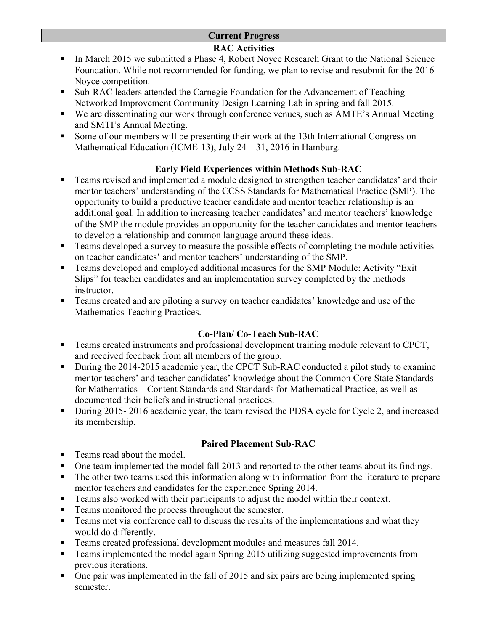### **Current Progress**

## **RAC Activities**

- In March 2015 we submitted a Phase 4, Robert Noyce Research Grant to the National Science Foundation. While not recommended for funding, we plan to revise and resubmit for the 2016 Noyce competition.
- Sub-RAC leaders attended the Carnegie Foundation for the Advancement of Teaching Networked Improvement Community Design Learning Lab in spring and fall 2015.
- We are disseminating our work through conference venues, such as AMTE's Annual Meeting and SMTI's Annual Meeting.
- Some of our members will be presenting their work at the 13th International Congress on Mathematical Education (ICME-13), July 24 – 31, 2016 in Hamburg.

# **Early Field Experiences within Methods Sub-RAC**

- Teams revised and implemented a module designed to strengthen teacher candidates' and their mentor teachers' understanding of the CCSS Standards for Mathematical Practice (SMP). The opportunity to build a productive teacher candidate and mentor teacher relationship is an additional goal. In addition to increasing teacher candidates' and mentor teachers' knowledge of the SMP the module provides an opportunity for the teacher candidates and mentor teachers to develop a relationship and common language around these ideas.
- Teams developed a survey to measure the possible effects of completing the module activities on teacher candidates' and mentor teachers' understanding of the SMP.
- Teams developed and employed additional measures for the SMP Module: Activity "Exit Slips" for teacher candidates and an implementation survey completed by the methods instructor.
- Teams created and are piloting a survey on teacher candidates' knowledge and use of the Mathematics Teaching Practices.

# **Co-Plan/ Co-Teach Sub-RAC**

- Teams created instruments and professional development training module relevant to CPCT, and received feedback from all members of the group.
- During the 2014-2015 academic year, the CPCT Sub-RAC conducted a pilot study to examine mentor teachers' and teacher candidates' knowledge about the Common Core State Standards for Mathematics – Content Standards and Standards for Mathematical Practice, as well as documented their beliefs and instructional practices.
- During 2015- 2016 academic year, the team revised the PDSA cycle for Cycle 2, and increased its membership.

# **Paired Placement Sub-RAC**

- Teams read about the model.
- One team implemented the model fall 2013 and reported to the other teams about its findings.
- The other two teams used this information along with information from the literature to prepare mentor teachers and candidates for the experience Spring 2014.
- Teams also worked with their participants to adjust the model within their context.
- Teams monitored the process throughout the semester.
- Teams met via conference call to discuss the results of the implementations and what they would do differently.
- Teams created professional development modules and measures fall 2014.
- Teams implemented the model again Spring 2015 utilizing suggested improvements from previous iterations.
- One pair was implemented in the fall of 2015 and six pairs are being implemented spring semester.